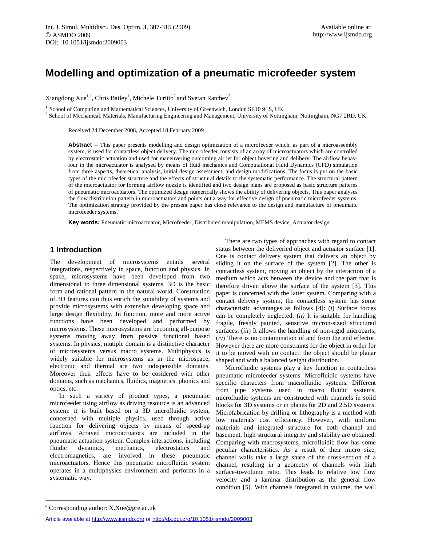# **Modelling and optimization of a pneumatic microfeeder system**

Xiangdong Xue<sup>1,a</sup>, Chris Bailey<sup>1</sup>, Michele Turitto<sup>2</sup> and Svetan Ratchev<sup>2</sup>

<sup>1</sup> School of Computing and Mathematical Sciences, University of Greenwich, London SE10 9LS, UK

<sup>2</sup> School of Mechanical, Materials, Manufacturing Engineering and Management, University of Nottingham, Nottingham, NG7 2RD, UK

Received 24 December 2008, Accepted 18 February 2009

**Abstract –** This paper presents modelling and design optimization of a microfeeder which, as part of a microassembly system, is used for contactless object delivery. The microfeeder consists of an array of microactuators which are controlled by electrostatic actuation and used for maneuvering outcoming air jet for object hovering and delibery. The airflow behaviour in the microactuator is analysed by means of fluid mechanics and Computational Fluid Dynamics (CFD) simulation from three aspects, theoretical analysis, initial design assessment, and design modifications. The focus is put on the basic types of the microfeeder structure and the effects of structural details to the systematic performance. The structural pattern of the microactuator for forming airflow nozzle is identified and two design plans are proposed as basic structure patterns of pneumatic microactuators. The optimized design numerically shows the ability of delivering objects. This paper analyses the flow distribution pattern in microactuators and points out a way for effective design of pneumatic microfeeder systems. The optimization strategy provided by the present paper has close relevance to the design and manufacture of pneumatic microfeeder systems.

**Key words:** Pneumatic microactuator, Microfeeder, Distributed manipulation, MEMS device, Actuator design

# **1 Introduction**

The development of microsystems entails several integrations, respectively in space, function and physics. In space, microsystems have been developed from two dimensional to three dimensional systems. 3D is the basic form and rational pattern in the natural world. Construction of 3D features can thus enrich the suitability of systems and provide microsystems with extensive developing space and large design flexibility. In function, more and more active functions have been developed and performed by microsystems. These microsystems are becoming all-purpose systems moving away from passive functional based systems. In physics, mutiple domain is a distinctive character of microsystems versus macro systems. Multiphysics is widely suitable for microsystems as in the microspace, electronic and thermal are two indispensible domains. Moreover their effects have to be cosidered with other domains, such as mechanics, fluidics, magnetics, phonics and optics, etc.

In such a variety of product types, a pneumatic microfeeder using airflow as driving resource is an advanced system: it is built based on a 3D microfluidic system, concerned with multiple physics, used through active function for delivering objects by means of speed-up airflows. Arrayed microactuators are included in the pneumatic actuation system. Complex interactions, including<br>fluidic dynamics, mechanics, electrostatics and fluidic dynamics, mechanics, electrostatics and electromagnetics, are involved in these pneumatic microactuators. Hence this pneumatic microfluidic system operates in a multiphysics environment and performs in a systematic way.

There are two types of approaches with regard to contact status between the deliveried object and actuator surface [1]. One is contact delivery system that delivers an object by sliding it on the surface of the system [2]. The other is contactless system, moving an object by the interaction of a medium which acts between the device and the part that is therefore driven above the surface of the system [3]. This paper is concerned with the latter system. Comparing with a contact delivery system, the contactless system has some characteristic advantages as follows [4]: (*i*) Surface forces can be completely neglected; (*ii)* It is suitable for handling fragile, freshly painted, sensitive micron-sized structured surfaces; *(iii)* It allows the handling of non-rigid microparts; (*iv*) There is no contamination of and from the end effector. However there are more constraints for the object in order for it to be moved with no contact: the object should be planar shaped and with a balanced weight distribution.

Microfluidic systems play a key function in contactless pneumatic microfeeder systems. Microfluidic systems have specific characters from macrofluidic systems. Different from pipe systems used in macro fluidic systems, microfluidic systems are constructed with channels in solid blocks for 3D systems or in planes for 2D and 2.5D systems. Microfabrication by drilling or lithography is a method with low materials cost efficiency. However, with uniform materials and integrated structure for both channel and basement, high structural integrity and stability are obtained. Comparing with macrosystems, microfluidic flow has some peculiar characteristics. As a result of their micro size, channel walls take a large share of the cross-section of a channel, resulting in a geometry of channels with high surface-to-volume ratio. This leads to relative low flow velocity and a laminar distribution as the general flow condition [5]. With channels integrated in vulume, the wall

-

a Corresponding author: X.Xue@gre.ac.uk

Article available at<http://www.ijsmdo.org>or<http://dx.doi.org/10.1051/ijsmdo/2009003>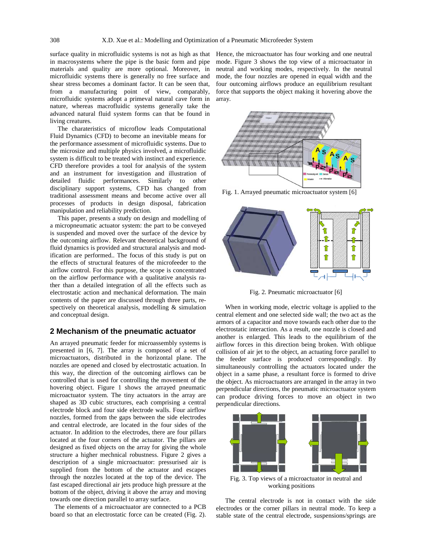surface quality in microfluidic systems is not as high as that in macrosystems where the pipe is the basic form and pipe materials and quality are more optional. Moreover, in microfluidic systems there is generally no free surface and shear stress becomes a dominant factor. It can be seen that, from a manufacturing point of view, comparably, microfluidic systems adopt a primeval natural cave form in nature, whereas macrofluidic systems generally take the advanced natural fluid system forms can that be found in living creatures.

The charateristics of microflow leads Computational Fluid Dynamics (CFD) to become an inevitable means for the performance assessment of microfluidic systems. Due to the microsize and multiple physics involved, a microfluidic system is difficult to be treated with instinct and experience. CFD therefore provides a tool for analysis of the system and an instrument for investigation and illustration of detailed fluidic performances. Similarly to other disciplinary support systems, CFD has changed from traditional assessment means and become active over all processes of products in design disposal, fabrication manipulation and reliability prediction.

This paper, presents a study on design and modelling of a micropneumatic actuator system: the part to be conveyed is suspended and moved over the surface of the device by the outcoming airflow. Relevant theoretical background of fluid dynamics is provided and structural analysis and modification are performed.. The focus of this study is put on the effects of structural features of the microfeeder to the airflow control. For this purpose, the scope is concentrated on the airflow performance with a qualitative analysis rather than a detailed integration of all the effects such as electrostatic action and mechanical deformation. The main contents of the paper are discussed through three parts, respectively on theoretical analysis, modelling & simulation and conceptual design.

### **2 Mechanism of the pneumatic actuator**

An arrayed pneumatic feeder for microassembly systems is presented in [6, 7]. The array is composed of a set of microactuators, distributed in the horizontal plane. The nozzles are opened and closed by electrostatic actuation. In this way, the direction of the outcoming airflows can be controlled that is used for controlling the movement of the hovering object. Figure 1 shows the arrayed pneumatic microactuator system. The tiny actuators in the array are shaped as 3D cubic structures, each comprising a central electrode block and four side electrode walls. Four airflow nozzles, formed from the gaps between the side electrodes and central electrode, are located in the four sides of the actuator. In addition to the electrodes, there are four pillars located at the four corners of the actuator. The pillars are designed as fixed objects on the array for giving the whole structure a higher mechnical robustness. Figure 2 gives a description of a single microactuator: pressurised air is supplied from the bottom of the actuator and escapes through the nozzles located at the top of the device. The fast escaped directional air jets produce high pressure at the bottom of the object, driving it above the array and moving towards one direction parallel to array surface.

The elements of a microactuator are connected to a PCB board so that an electrostatic force can be created (Fig. 2). Hence, the microactuator has four working and one neutral mode. Figure 3 shows the top view of a microactuator in neutral and working modes, respectively. In the neutral mode, the four nozzles are opened in equal width and the four outcoming airflows produce an equilibrium resultant force that supports the object making it hovering above the array.



Fig. 1. Arrayed pneumatic microactuator system [6]



Fig. 2. Pneumatic microactuator [6]

When in working mode, electric voltage is applied to the central element and one selected side wall; the two act as the armors of a capacitor and move towards each other due to the electrostatic interaction. As a result, one nozzle is closed and another is enlarged. This leads to the equilibrium of the airflow forces in this direction being broken. With oblique collision of air jet to the object, an actuating force parallel to the feeder surface is produced correspondingly. By simultaneously controlling the actuators located under the object in a same phase, a resultant force is formed to drive the object. As microactuators are arranged in the array in two perpendicular directions, the pneumatic microactuator system can produce driving forces to move an object in two perpendicular directions.



working positions

The central electrode is not in contact with the side electrodes or the corner pillars in neutral mode. To keep a stable state of the central electrode, suspensions/springs are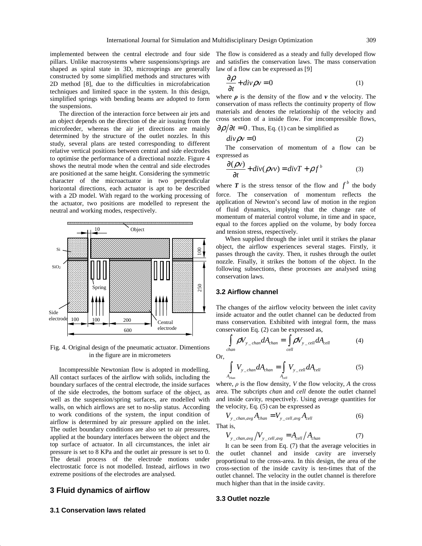implemented between the central electrode and four side pillars. Unlike macrosystems where suspensions/springs are shaped as spiral state in 3D, microsprings are generally constructed by some simplified methods and structures with 2D method [8], due to the difficulties in microfabrication techniques and limited space in the system. In this design, simplified springs with bending beams are adopted to form the suspensions.

The direction of the interaction force between air jets and an object depends on the direction of the air issuing from the microfeeder, whereas the air jet directions are mainly determined by the structure of the outlet nozzles. In this study, several plans are tested corresponding to different relative vertical positions between central and side electrodes to optimise the performance of a directional nozzle. Figure 4 shows the neutral mode when the central and side electrodes are positioned at the same height. Considering the symmetric character of the microactuator in two perpendicular horizontal directions, each actuator is apt to be described with a 2D model. With regard to the working processing of the actuator, two positions are modelled to represent the neutral and working modes, respectively.



Fig. 4. Original design of the pneumatic actuator. Dimentions in the figure are in micrometers

Incompressible Newtonian flow is adopted in modelling. All contact surfaces of the airflow with solids, including the boundary surfaces of the central electrode, the inside surfaces of the side electrodes, the bottom surface of the object, as well as the suspension/spring surfaces, are modelled with walls, on which airflows are set to no-slip status. According to work conditions of the system, the input condition of airflow is determined by air pressure applied on the inlet. The outlet boundary conditions are also set to air pressures, applied at the boundary interfaces between the object and the top surface of actuator. In all circumstances, the inlet air pressure is set to 8 KPa and the outlet air pressure is set to 0. The detail process of the electrode motions under electrostatic force is not modelled. Instead, airflows in two extreme positions of the electrodes are analysed.

# **3 Fluid dynamics of airflow**

#### **3.1 Conservation laws related**

The flow is considered as a steady and fully developed flow and satisfies the conservation laws. The mass conservation law of a flow can be expressed as [9]

$$
\frac{\partial \rho}{\partial t} + div \rho v = 0 \tag{1}
$$

where  $\rho$  is the density of the flow and  $\nu$  the velocity. The conservation of mass reflects the continuity property of flow materials and denotes the relationship of the velocity and cross section of a inside flow. For imcompressible flows,

$$
\partial \rho / \partial t = 0
$$
. Thus, Eq. (1) can be simplified as

$$
div \rho v = 0 \tag{2}
$$

The conservation of momentum of a flow can be expressed as

$$
\frac{\partial(\rho v)}{\partial t} + \operatorname{div}(\rho v v) = \operatorname{div} T + \rho f^b \tag{3}
$$

where  $T$  is the stress tensor of the flow and  $f^b$  the body force. The conservation of momentum reflects the application of Newton's second law of motion in the region of fluid dynamics, implying that the change rate of momentum of material control volume, in time and in space, equal to the forces applied on the volume, by body forcea and tension stress, respectively.

When supplied through the inlet until it strikes the planar object, the airflow experiences several stages. Firstly, it passes through the cavity. Then, it rushes through the outlet nozzle. Finally, it strikes the bottom of the object. In the following subsections, these processes are analysed using conservation laws.

# **3.2 Airflow channel**

The changes of the airflow velocity between the inlet cavity inside actuator and the outlet channel can be deducted from mass conservation. Exhibited with integral form, the mass conservation Eq. (2) can be expressed as,

$$
\int_{\text{chan}} \rho V_{y_{\text{1}}\text{chan}} dA_{\text{chan}} = \int_{\text{cell}} \rho V_{y_{\text{1}}\text{cell}} dA_{\text{cell}} \tag{4}
$$

$$
\int_{A_{\text{chan}}} V_{y_{\text{\_chan}}} dA_{\text{chan}} = \int_{A_{\text{cell}}} V_{y_{\text{\_cell}}} dA_{\text{cell}} \tag{5}
$$

where,  $\rho$  is the flow density, *V* the flow velocity, *A* the cross area. The subcripts *chan* and *cell* denote the outlet channel and inside cavity, respectively. Using average quantities for the velocity, Eq. (5) can be expressed as

$$
V_{y_{\text{2}}\text{chan},\text{avg}}A_{\text{chan}} = V_{y_{\text{2}}\text{cell},\text{avg}}A_{\text{cell}}
$$
(6)

That is,

Or,

$$
V_{y_{\text{1}-\text{chan},avg}} / V_{y_{\text{1}-\text{cell},avg}} = A_{\text{cell}} / A_{\text{chan}}
$$
 (7)

It can be seen from Eq. (7) that the average velocities in the outlet channel and inside cavity are inversely proportional to the cross-area. In this design, the area of the cross-section of the inside cavity is ten-times that of the outlet channel. The velocity in the outlet channel is therefore much higher than that in the inside cavity.

#### **3.3 Outlet nozzle**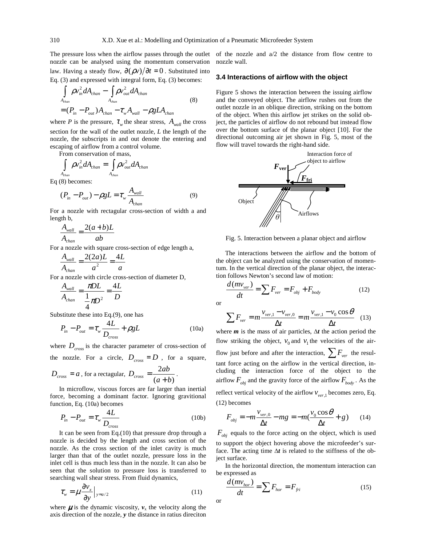The pressure loss when the airflow passes through the outlet of the nozzle and a/2 the distance from flow centre to nozzle can be analysed using the momentum conservation law. Having a steady flow,  $\frac{\partial (\rho v)}{\partial t} = 0$ . Substituted into Eq. (3) and expressed with integral form, Eq. (3) becomes:

$$
\int_{A_{chan}} \rho v_{in}^2 dA_{chan} - \int_{A_{chan}} \rho v_{out}^2 dA_{chan}
$$
\n
$$
= (P_{in} - P_{out}) A_{chan} - \tau_w A_{wall} - \rho g L A_{chan}
$$
\n(8)

where *P* is the pressure,  $\tau_w$  the shear stress,  $A_{wall}$  the cross section for the wall of the outlet nozzle, *L* the length of the nozzle, the subscripts in and out denote the entering and escaping of airflow from a control volume.

From conservation of mass,

$$
\int_{A_{chan}} \rho v_{in}^2 dA_{chan} = \int_{A_{chan}} \rho v_{out}^2 dA_{chan}
$$

Eq (8) becomes:

$$
(P_{in} - P_{out}) - \rho g L = \tau_w \frac{A_{wall}}{A_{chan}}
$$
\n(9)

For a nozzle with rectagular cross-section of width a and length b,

$$
\frac{A_{wall}}{A_{chan}} = \frac{2(a+b)L}{ab}
$$

For a nozzle with square cross-section of edge length a,

$$
\frac{A_{wall}}{A_{chan}} = \frac{2(2a)L}{a^2} = \frac{4L}{a}
$$

For a nozzle with circle cross-section of diameter D,

$$
\frac{A_{wall}}{A_{chan}} = \frac{\pi D L}{\frac{1}{4} \pi D^2} = \frac{4L}{D}
$$

Substitute these into Eq.(9), one has

$$
P_{in} - P_{out} = \tau_w \frac{4L}{D_{cross}} + \rho gL
$$
 (10a)

where  $D_{cross}$  is the character parameter of cross-section of the nozzle. For a circle,  $D_{cross} = D$ , for a square,

$$
D_{cross} = a
$$
, for a rectangular,  $D_{cross} = \frac{2ab}{(a+b)}$ .

In microflow, viscous forces are far larger than inertial force, becoming a dominant factor. Ignoring gravitional function, Eq. (10a) becomes

$$
P_{in} - P_{out} = \tau_w \frac{4L}{D_{cross}} \tag{10b}
$$

It can be seen from Eq.(10) that pressure drop through a nozzle is decided by the length and cross section of the nozzle. As the cross section of the inlet cavity is much larger than that of the outlet nozzle, pressure loss in the inlet cell is thus much less than in the nozzle. It can also be seen that the solution to pressure loss is transferred to searching wall shear stress. From fluid dynamics,

$$
\tau_w = \mu \frac{\partial v_x}{\partial y}\Big|_{y=a/2} \tag{11}
$$

where  $\mu$  is the dynamic viscosity,  $v_x$  the velocity along the axis direction of the nozzle, *y* the distance in ratius direciton

nozzle wall.

### **3.4 Interactions of airflow with the object**

Figure 5 shows the interaction between the issuing airflow and the conveyed object. The airflow rushes out from the outlet nozzle in an oblique direction, striking on the bottom of the object. When this airflow jet strikes on the solid object, the particles of airflow do not rebound but instead flow over the bottom surface of the planar object [10]. For the directional outcoming air jet shown in Fig. 5, most of the flow will travel towards the right-hand side.



Fig. 5. Interaction between a planar object and airflow

The interactions between the airflow and the bottom of the object can be analyzed using the conservation of momentum. In the vertical direction of the planar object, the interaction follows Newton's second law of motion:

$$
\frac{d(mv_{ver})}{dt} = \sum F_{ver} = F_{obj} + F_{body}
$$
 (12)

or

$$
\sum F_{ver} = m \frac{v_{ver,1} - v_{ver,0}}{\Delta t} = m \frac{v_{ver,1} - v_0 \cos \theta}{\Delta t}
$$
 (13)

where *m* is the mass of air particles, ∆*t* the action period the flow striking the object,  $v_0$  and  $v_1$  the velocities of the airflow just before and after the interaction,  $\sum F_{ver}$  the resultant force acting on the airflow in the vertical direction, including the interaction force of the object to the airflow  $F_{obj}$  and the gravity force of the airflow  $F_{body}$ . As the reflect vertical velocity of the airflow  $v_{ver,1}$  becomes zero, Eq. (12) becomes

$$
F_{obj} = -m\frac{v_{ver,0}}{\Delta t} - mg = -m(\frac{v_0 \cos \theta}{\Delta t} + g)
$$
 (14)

 $F_{obj}$  equals to the force acting on the object, which is used to support the object hovering above the microfeeder's surface. The acting time ∆*t* is related to the stiffness of the object surface.

In the horizontal direction, the momentum interaction can be expressed as

$$
\frac{d(mv_{hor})}{dt} = \sum F_{hor} = F_{fri} \tag{15}
$$

or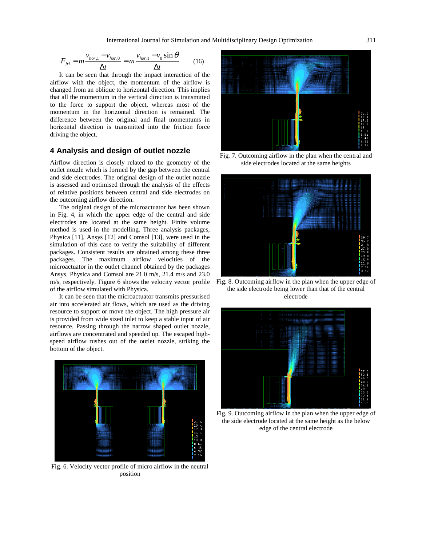$$
F_{\text{fri}} = m \frac{v_{\text{hor},1} - v_{\text{hor},0}}{\Delta t} = m \frac{v_{\text{hor},1} - v_0 \sin \theta}{\Delta t} \tag{16}
$$

It can be seen that through the impact interaction of the airflow with the object, the momentum of the airflow is changed from an oblique to horizontal direction. This implies that all the momentum in the vertical direction is transmitted to the force to support the object, whereas most of the momentum in the horizontal direction is remained. The difference between the original and final momentums in horizontal direction is transmitted into the friction force driving the object.

# **4 Analysis and design of outlet nozzle**

Airflow direction is closely related to the geometry of the outlet nozzle which is formed by the gap between the central and side electrodes. The original design of the outlet nozzle is assessed and optimised through the analysis of the effects of relative positions between central and side electrodes on the outcoming airflow direction.

The original design of the microactuator has been shown in Fig. 4, in which the upper edge of the central and side electrodes are located at the same height. Finite volume method is used in the modelling. Three analysis packages, Physica [11], Ansys [12] and Comsol [13], were used in the simulation of this case to verify the suitability of different packages. Consistent results are obtained among these three packages. The maximum airflow velocities of the microactuator in the outlet channel obtained by the packages Ansys, Physica and Comsol are 21.0 m/s, 21.4 m/s and 23.0 m/s, respectively. Figure 6 shows the velocity vector profile Fig. 8. Outcoming airflow in the plan when the upper edge of of the airflow simulated with Physica.

It can be seen that the microactuator transmits pressurised air into accelerated air flows, which are used as the driving resource to support or move the object. The high pressure air is provided from wide sized inlet to keep a stable input of air resource. Passing through the narrow shaped outlet nozzle, airflows are concentrated and speeded up. The escaped highspeed airflow rushes out of the outlet nozzle, striking the bottom of the object.



Fig. 6. Velocity vector profile of micro airflow in the neutral position



Fig. 7. Outcoming airflow in the plan when the central and side electrodes located at the same heights



the side electrode being lower than that of the central electrode



Fig. 9. Outcoming airflow in the plan when the upper edge of the side electrode located at the same height as the below edge of the central electrode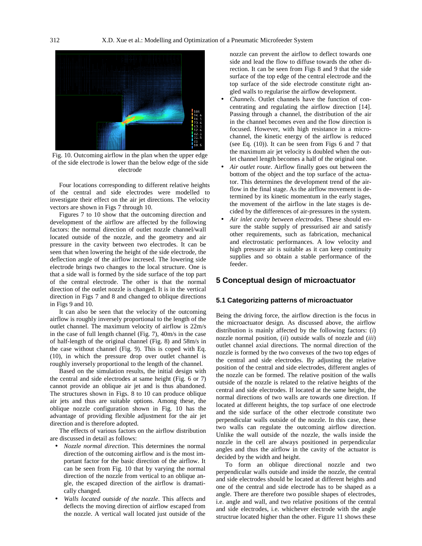

Fig. 10. Outcoming airflow in the plan when the upper edge of the side electrode is lower than the below edge of the side electrode

Four locations corresponding to different relative heights of the central and side electrodes were modelled to investigate their effect on the air jet directions. The velocity vectors are shown in Figs 7 through 10.

Figures 7 to 10 show that the outcoming direction and development of the airflow are affected by the following factors: the normal direction of outlet nozzle channel/wall located outside of the nozzle, and the geometry and air pressure in the cavity between two electrodes. It can be seen that when lowering the height of the side electrode, the deflection angle of the airflow incresed. The lowering side electrode brings two changes to the local structure. One is that a side wall is formed by the side surface of the top part of the central electrode. The other is that the normal direction of the outlet nozzle is changed. It is in the vertical direction in Figs 7 and 8 and changed to oblique directions in Figs 9 and 10.

It can also be seen that the velocity of the outcoming airflow is roughly inversely proportional to the length of the outlet channel. The maximum velocity of airflow is 22m/s in the case of full length channel (Fig. 7), 40m/s in the case of half-length of the original channel (Fig. 8) and 58m/s in the case without channel (Fig. 9). This is coped with Eq. (10), in which the pressure drop over outlet channel is roughly inversely proportional to the length of the channel.

Based on the simulation results, the initial design with the central and side electrodes at same height (Fig. 6 or 7) cannot provide an oblique air jet and is thus abandoned. The structures shown in Figs. 8 to 10 can produce oblique air jets and thus are suitable options. Among these, the oblique nozzle configuration shown in Fig. 10 has the advantage of providing flexible adjustment for the air jet direction and is therefore adopted.

The effects of various factors on the airflow distribution are discussed in detail as follows:

- *Nozzle normal direction*. This determines the normal direction of the outcoming airflow and is the most important factor for the basic direction of the airflow. It can be seen from Fig. 10 that by varying the normal direction of the nozzle from vertical to an oblique angle, the escaped direction of the airflow is dramatically changed.
- *Walls located outside of the nozzle*. This affects and deflects the moving direction of airflow escaped from the nozzle. A vertical wall located just outside of the

nozzle can prevent the airflow to deflect towards one side and lead the flow to diffuse towards the other direction. It can be seen from Figs 8 and 9 that the side surface of the top edge of the central electrode and the top surface of the side electrode constitute right angled walls to regularise the airflow development.

- *Channels*. Outlet channels have the function of concentrating and regulating the airflow direction [14]. Passing through a channel, the distribution of the air in the channel becomes even and the flow direction is focused. However, with high resistance in a microchannel, the kinetic energy of the airflow is reduced (see Eq. (10)). It can be seen from Figs 6 and 7 that the maximum air jet velocity is doubled when the outlet channel length becomes a half of the original one.
- *Air outlet route*. Airflow finally goes out between the bottom of the object and the top surface of the actuator. This determines the development trend of the airflow in the final stage. As the airflow movement is determined by its kinetic momentum in the early stages, the movement of the airflow in the late stages is decided by the differences of air-pressures in the system.
- *Air inlet cavity between electrodes*. These should ensure the stable supply of pressurised air and satisfy other requirements, such as fabrication, mechanical and electrostatic performances. A low velocity and high pressure air is suitable as it can keep continuity supplies and so obtain a stable performance of the feeder.

# **5 Conceptual design of microactuator**

#### **5.1 Categorizing patterns of microactuator**

Being the driving force, the airflow direction is the focus in the microactuator design. As discussed above, the airflow distribution is mainly affected by the following factors: (*i*) nozzle normal position, (*ii*) outside walls of nozzle and (*iii*) outlet channel axial directions. The normal direction of the nozzle is formed by the two convexes of the two top edges of the central and side electrodes. By adjusting the relative position of the central and side electrodes, different angles of the nozzle can be formed. The relative position of the walls outside of the nozzle is related to the relative heights of the central and side electrodes. If located at the same height, the normal directions of two walls are towards one direction. If located at different heights, the top surface of one electrode and the side surface of the other electrode constitute two perpendicular walls outside of the nozzle. In this case, these two walls can regulate the outcoming airflow direction. Unlike the wall outside of the nozzle, the walls inside the nozzle in the cell are always positioned in perpendicular angles and thus the airflow in the cavity of the actuator is decided by the width and height.

To form an oblique directional nozzle and two perpendicular walls outside and inside the nozzle, the central and side electrodes should be located at different heights and one of the central and side electrode has to be shaped as a angle. There are therefore two possible shapes of electrodes, i.e. angle and wall, and two relative positions of the central and side electrodes, i.e. whichever electrode with the angle structrue located higher than the other. Figure 11 shows these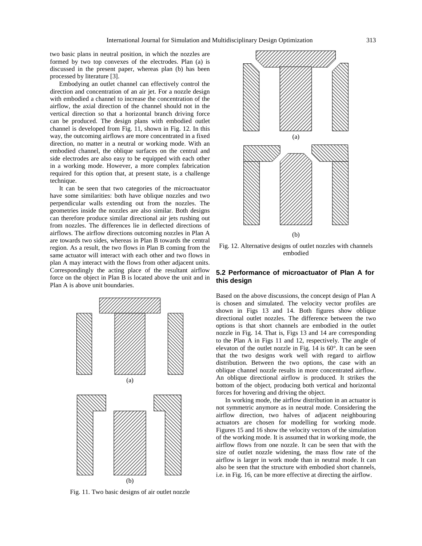two basic plans in neutral position, in which the nozzles are formed by two top convexes of the electrodes. Plan (a) is discussed in the present paper, whereas plan (b) has been processed by literature [3].

Embodying an outlet channel can effectively control the direction and concentration of an air jet. For a nozzle design with embodied a channel to increase the concentration of the airflow, the axial direction of the channel should not in the vertical direction so that a horizontal branch driving force can be produced. The design plans with embodied outlet channel is developed from Fig. 11, shown in Fig. 12. In this way, the outcoming airflows are more concentrated in a fixed direction, no matter in a neutral or working mode. With an embodied channel, the oblique surfaces on the central and side electrodes are also easy to be equipped with each other in a working mode. However, a more complex fabrication required for this option that, at present state, is a challenge technique.

It can be seen that two categories of the microactuator have some similarities: both have oblique nozzles and two perpendicular walls extending out from the nozzles. The geometries inside the nozzles are also similar. Both designs can therefore produce similar directional air jets rushing out from nozzles. The differences lie in deflected directions of airflows. The airflow directions outcoming nozzles in Plan A are towards two sides, whereas in Plan B towards the central region. As a result, the two flows in Plan B coming from the same actuator will interact with each other and two flows in plan A may interact with the flows from other adjacent units. Correspondingly the acting place of the resultant airflow force on the object in Plan B is located above the unit and in Plan A is above unit boundaries.



Fig. 11. Two basic designs of air outlet nozzle



Fig. 12. Alternative designs of outlet nozzles with channels embodied

# **5.2 Performance of microactuator of Plan A for this design**

Based on the above discussions, the concept design of Plan A is chosen and simulated. The velocity vector profiles are shown in Figs 13 and 14. Both figures show oblique directional outlet nozzles. The difference between the two options is that short channels are embodied in the outlet nozzle in Fig. 14. That is, Figs 13 and 14 are corresponding to the Plan A in Figs 11 and 12, respectively. The angle of elevaton of the outlet nozzle in Fig. 14 is 60°. It can be seen that the two designs work well with regard to airflow distribution. Between the two options, the case with an oblique channel nozzle results in more concentrated airflow. An oblique directional airflow is produced. It strikes the bottom of the object, producing both vertical and horizontal forces for hovering and driving the object.

In working mode, the airflow distribution in an actuator is not symmetric anymore as in neutral mode. Considering the airflow direction, two halves of adjacent neighbouring actuators are chosen for modelling for working mode. Figures 15 and 16 show the velocity vectors of the simulation of the working mode. It is assumed that in working mode, the airflow flows from one nozzle. It can be seen that with the size of outlet nozzle widening, the mass flow rate of the airflow is larger in work mode than in neutral mode. It can also be seen that the structure with embodied short channels, i.e. in Fig. 16, can be more effective at directing the airflow.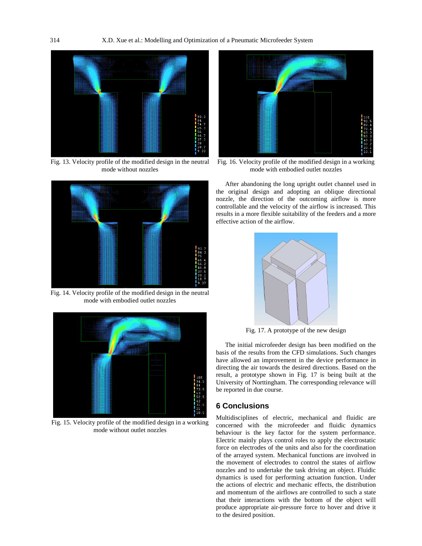

Fig. 13. Velocity profile of the modified design in the neutral mode without nozzles



Fig. 14. Velocity profile of the modified design in the neutral mode with embodied outlet nozzles



Fig. 15. Velocity profile of the modified design in a working mode without outlet nozzles



Fig. 16. Velocity profile of the modified design in a working mode with embodied outlet nozzles

After abandoning the long upright outlet channel used in the original design and adopting an oblique directional nozzle, the direction of the outcoming airflow is more controllable and the velocity of the airflow is increased. This results in a more flexible suitability of the feeders and a more effective action of the airflow.



Fig. 17. A prototype of the new design

The initial microfeeder design has been modified on the basis of the results from the CFD simulations. Such changes have allowed an improvement in the device performance in directing the air towards the desired directions. Based on the result, a prototype shown in Fig. 17 is being built at the University of Norttingham. The corresponding relevance will be reported in due course.

# **6 Conclusions**

Multidisciplines of electric, mechanical and fluidic are concerned with the microfeeder and fluidic dynamics behaviour is the key factor for the system performance. Electric mainly plays control roles to apply the electrostatic force on electrodes of the units and also for the coordination of the arrayed system. Mechanical functions are involved in the movement of electrodes to control the states of airflow nozzles and to undertake the task driving an object. Fluidic dynamics is used for performing actuation function. Under the actions of electric and mechanic effects, the distribution and momentum of the airflows are controlled to such a state that their interactions with the bottom of the object will produce appropriate air-pressure force to hover and drive it to the desired position.